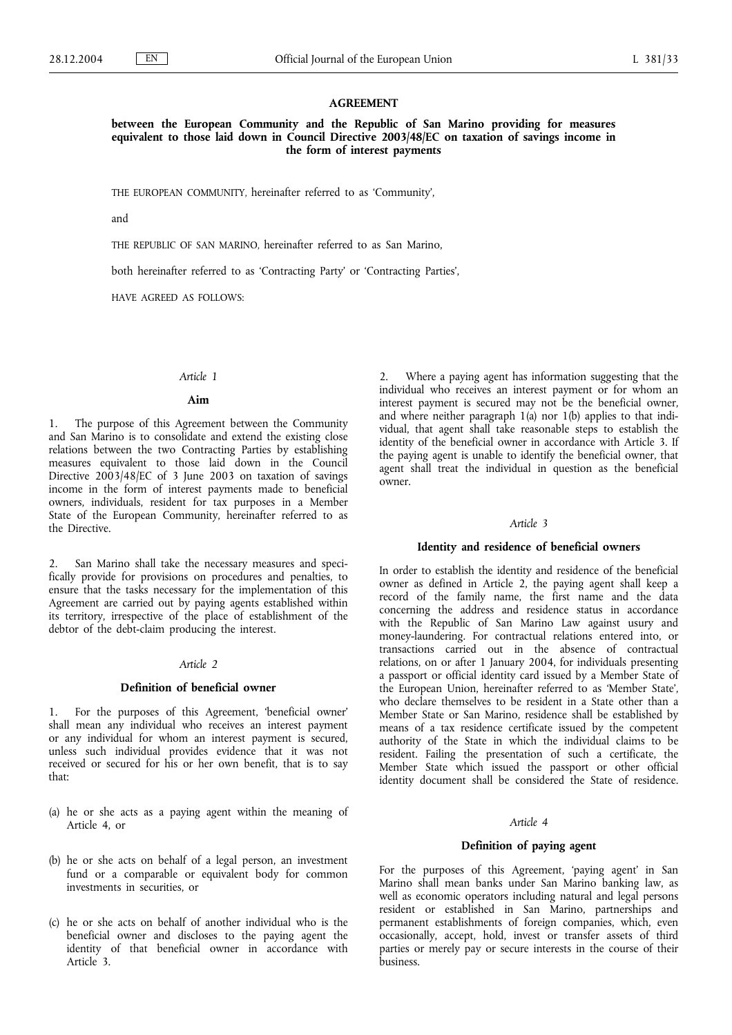### **AGREEMENT**

**between the European Community and the Republic of San Marino providing for measures equivalent to those laid down in Council Directive 2003/48/EC on taxation of savings income in the form of interest payments**

THE EUROPEAN COMMUNITY, hereinafter referred to as 'Community',

and

THE REPUBLIC OF SAN MARINO, hereinafter referred to as San Marino,

both hereinafter referred to as 'Contracting Party' or 'Contracting Parties',

HAVE AGREED AS FOLLOWS:

### *Article 1*

### **Aim**

1. The purpose of this Agreement between the Community and San Marino is to consolidate and extend the existing close relations between the two Contracting Parties by establishing measures equivalent to those laid down in the Council Directive 2003/48/EC of 3 June 2003 on taxation of savings income in the form of interest payments made to beneficial owners, individuals, resident for tax purposes in a Member State of the European Community, hereinafter referred to as the Directive.

San Marino shall take the necessary measures and specifically provide for provisions on procedures and penalties, to ensure that the tasks necessary for the implementation of this Agreement are carried out by paying agents established within its territory, irrespective of the place of establishment of the debtor of the debt-claim producing the interest.

## *Article 2*

#### **Definition of beneficial owner**

1. For the purposes of this Agreement, 'beneficial owner' shall mean any individual who receives an interest payment or any individual for whom an interest payment is secured, unless such individual provides evidence that it was not received or secured for his or her own benefit, that is to say that:

- (a) he or she acts as a paying agent within the meaning of Article 4, or
- (b) he or she acts on behalf of a legal person, an investment fund or a comparable or equivalent body for common investments in securities, or
- (c) he or she acts on behalf of another individual who is the beneficial owner and discloses to the paying agent the identity of that beneficial owner in accordance with Article 3.

2. Where a paying agent has information suggesting that the individual who receives an interest payment or for whom an interest payment is secured may not be the beneficial owner, and where neither paragraph 1(a) nor 1(b) applies to that individual, that agent shall take reasonable steps to establish the identity of the beneficial owner in accordance with Article 3. If the paying agent is unable to identify the beneficial owner, that agent shall treat the individual in question as the beneficial owner.

### *Article 3*

#### **Identity and residence of beneficial owners**

In order to establish the identity and residence of the beneficial owner as defined in Article 2, the paying agent shall keep a record of the family name, the first name and the data concerning the address and residence status in accordance with the Republic of San Marino Law against usury and money-laundering. For contractual relations entered into, or transactions carried out in the absence of contractual relations, on or after 1 January 2004, for individuals presenting a passport or official identity card issued by a Member State of the European Union, hereinafter referred to as 'Member State', who declare themselves to be resident in a State other than a Member State or San Marino, residence shall be established by means of a tax residence certificate issued by the competent authority of the State in which the individual claims to be resident. Failing the presentation of such a certificate, the Member State which issued the passport or other official identity document shall be considered the State of residence.

#### *Article 4*

# **Definition of paying agent**

For the purposes of this Agreement, 'paying agent' in San Marino shall mean banks under San Marino banking law, as well as economic operators including natural and legal persons resident or established in San Marino, partnerships and permanent establishments of foreign companies, which, even occasionally, accept, hold, invest or transfer assets of third parties or merely pay or secure interests in the course of their business.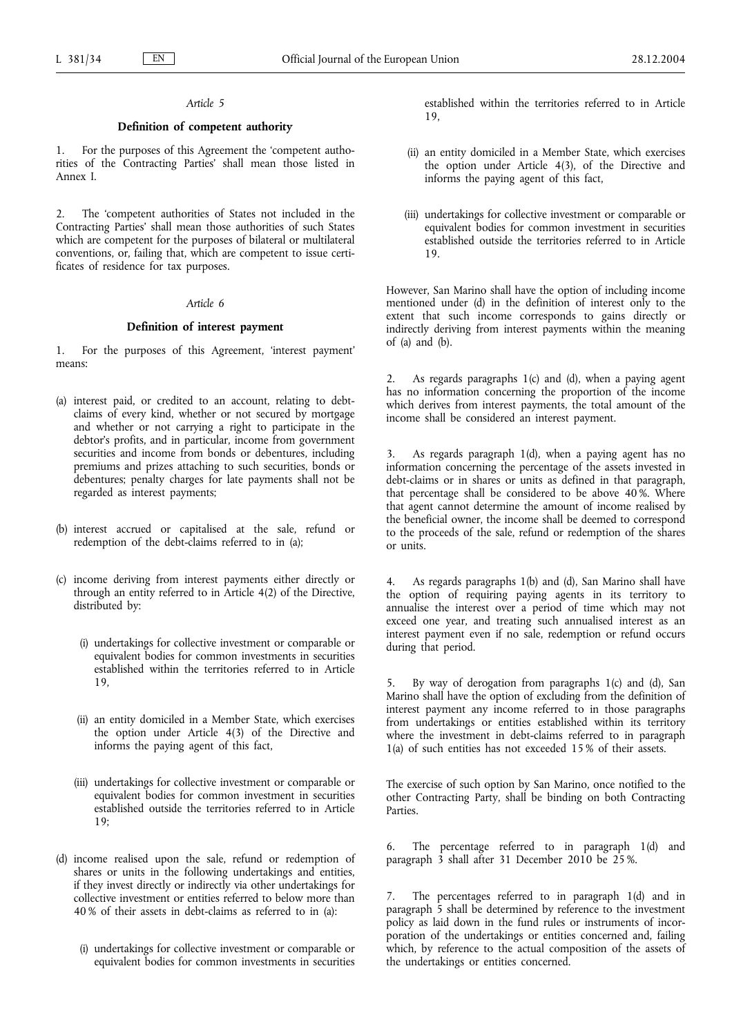### *Article 5*

### **Definition of competent authority**

1. For the purposes of this Agreement the 'competent authorities of the Contracting Parties' shall mean those listed in Annex I.

2. The 'competent authorities of States not included in the Contracting Parties' shall mean those authorities of such States which are competent for the purposes of bilateral or multilateral conventions, or, failing that, which are competent to issue certificates of residence for tax purposes.

### *Article 6*

#### **Definition of interest payment**

1. For the purposes of this Agreement, 'interest payment' means:

- (a) interest paid, or credited to an account, relating to debtclaims of every kind, whether or not secured by mortgage and whether or not carrying a right to participate in the debtor's profits, and in particular, income from government securities and income from bonds or debentures, including premiums and prizes attaching to such securities, bonds or debentures; penalty charges for late payments shall not be regarded as interest payments;
- (b) interest accrued or capitalised at the sale, refund or redemption of the debt-claims referred to in (a);
- (c) income deriving from interest payments either directly or through an entity referred to in Article 4(2) of the Directive, distributed by:
	- (i) undertakings for collective investment or comparable or equivalent bodies for common investments in securities established within the territories referred to in Article 19,
	- (ii) an entity domiciled in a Member State, which exercises the option under Article 4(3) of the Directive and informs the paying agent of this fact,
	- (iii) undertakings for collective investment or comparable or equivalent bodies for common investment in securities established outside the territories referred to in Article 19;
- (d) income realised upon the sale, refund or redemption of shares or units in the following undertakings and entities, if they invest directly or indirectly via other undertakings for collective investment or entities referred to below more than 40 % of their assets in debt-claims as referred to in (a):
	- (i) undertakings for collective investment or comparable or equivalent bodies for common investments in securities

established within the territories referred to in Article 19,

- (ii) an entity domiciled in a Member State, which exercises the option under Article 4(3), of the Directive and informs the paying agent of this fact,
- (iii) undertakings for collective investment or comparable or equivalent bodies for common investment in securities established outside the territories referred to in Article 19.

However, San Marino shall have the option of including income mentioned under (d) in the definition of interest only to the extent that such income corresponds to gains directly or indirectly deriving from interest payments within the meaning of (a) and (b).

As regards paragraphs  $1(c)$  and  $(d)$ , when a paying agent has no information concerning the proportion of the income which derives from interest payments, the total amount of the income shall be considered an interest payment.

As regards paragraph  $1(d)$ , when a paying agent has no information concerning the percentage of the assets invested in debt-claims or in shares or units as defined in that paragraph, that percentage shall be considered to be above  $40\%$ . Where that agent cannot determine the amount of income realised by the beneficial owner, the income shall be deemed to correspond to the proceeds of the sale, refund or redemption of the shares or units.

4. As regards paragraphs 1(b) and (d), San Marino shall have the option of requiring paying agents in its territory to annualise the interest over a period of time which may not exceed one year, and treating such annualised interest as an interest payment even if no sale, redemption or refund occurs during that period.

By way of derogation from paragraphs  $1(c)$  and  $(d)$ , San Marino shall have the option of excluding from the definition of interest payment any income referred to in those paragraphs from undertakings or entities established within its territory where the investment in debt-claims referred to in paragraph 1(a) of such entities has not exceeded 15 % of their assets.

The exercise of such option by San Marino, once notified to the other Contracting Party, shall be binding on both Contracting Parties.

6. The percentage referred to in paragraph 1(d) and paragraph 3 shall after 31 December 2010 be 25 %.

The percentages referred to in paragraph 1(d) and in paragraph 5 shall be determined by reference to the investment policy as laid down in the fund rules or instruments of incorporation of the undertakings or entities concerned and, failing which, by reference to the actual composition of the assets of the undertakings or entities concerned.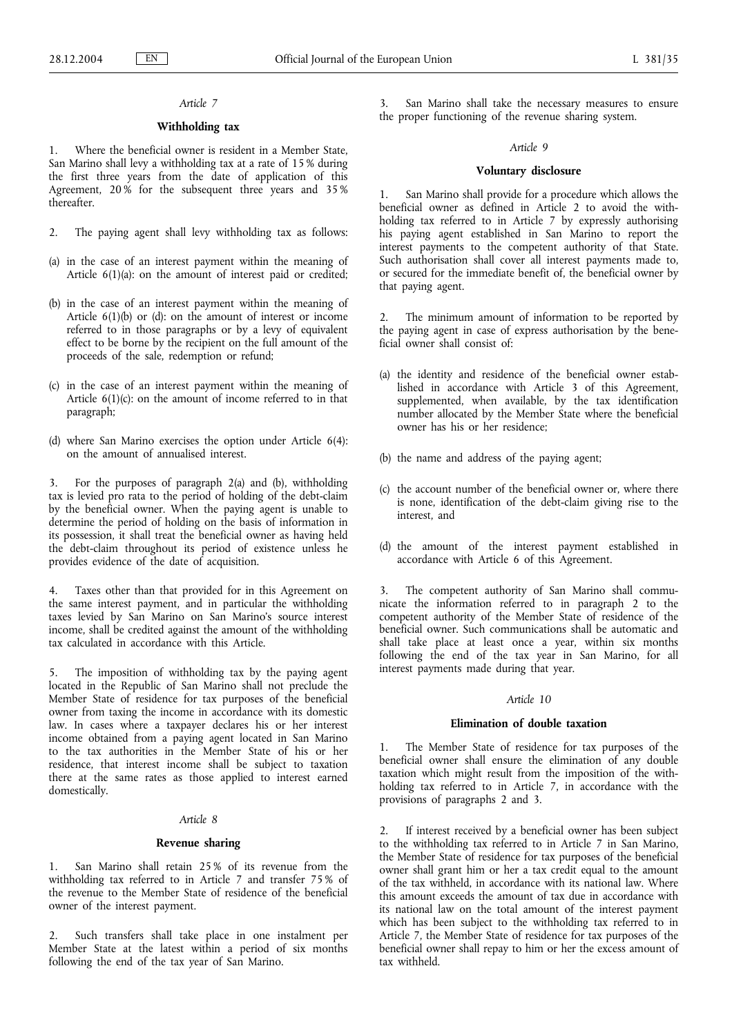# *Article 7*

# **Withholding tax**

Where the beneficial owner is resident in a Member State, San Marino shall levy a withholding tax at a rate of 15 % during the first three years from the date of application of this Agreement, 20% for the subsequent three years and 35% thereafter.

- 2. The paying agent shall levy withholding tax as follows:
- (a) in the case of an interest payment within the meaning of Article 6(1)(a): on the amount of interest paid or credited;
- (b) in the case of an interest payment within the meaning of Article 6(1)(b) or (d): on the amount of interest or income referred to in those paragraphs or by a levy of equivalent effect to be borne by the recipient on the full amount of the proceeds of the sale, redemption or refund;
- (c) in the case of an interest payment within the meaning of Article  $6(1)(c)$ : on the amount of income referred to in that paragraph;
- (d) where San Marino exercises the option under Article 6(4): on the amount of annualised interest.

3. For the purposes of paragraph 2(a) and (b), withholding tax is levied pro rata to the period of holding of the debt-claim by the beneficial owner. When the paying agent is unable to determine the period of holding on the basis of information in its possession, it shall treat the beneficial owner as having held the debt-claim throughout its period of existence unless he provides evidence of the date of acquisition.

4. Taxes other than that provided for in this Agreement on the same interest payment, and in particular the withholding taxes levied by San Marino on San Marino's source interest income, shall be credited against the amount of the withholding tax calculated in accordance with this Article.

5. The imposition of withholding tax by the paying agent located in the Republic of San Marino shall not preclude the Member State of residence for tax purposes of the beneficial owner from taxing the income in accordance with its domestic law. In cases where a taxpayer declares his or her interest income obtained from a paying agent located in San Marino to the tax authorities in the Member State of his or her residence, that interest income shall be subject to taxation there at the same rates as those applied to interest earned domestically.

## *Article 8*

### **Revenue sharing**

1. San Marino shall retain 25 % of its revenue from the withholding tax referred to in Article 7 and transfer 75 % of the revenue to the Member State of residence of the beneficial owner of the interest payment.

2. Such transfers shall take place in one instalment per Member State at the latest within a period of six months following the end of the tax year of San Marino.

San Marino shall take the necessary measures to ensure the proper functioning of the revenue sharing system.

### *Article 9*

## **Voluntary disclosure**

1. San Marino shall provide for a procedure which allows the beneficial owner as defined in Article 2 to avoid the withholding tax referred to in Article 7 by expressly authorising his paying agent established in San Marino to report the interest payments to the competent authority of that State. Such authorisation shall cover all interest payments made to, or secured for the immediate benefit of, the beneficial owner by that paying agent.

2. The minimum amount of information to be reported by the paying agent in case of express authorisation by the beneficial owner shall consist of:

- (a) the identity and residence of the beneficial owner established in accordance with Article 3 of this Agreement, supplemented, when available, by the tax identification number allocated by the Member State where the beneficial owner has his or her residence;
- (b) the name and address of the paying agent;
- (c) the account number of the beneficial owner or, where there is none, identification of the debt-claim giving rise to the interest, and
- (d) the amount of the interest payment established in accordance with Article 6 of this Agreement.

3. The competent authority of San Marino shall communicate the information referred to in paragraph 2 to the competent authority of the Member State of residence of the beneficial owner. Such communications shall be automatic and shall take place at least once a year, within six months following the end of the tax year in San Marino, for all interest payments made during that year.

### *Article 10*

### **Elimination of double taxation**

1. The Member State of residence for tax purposes of the beneficial owner shall ensure the elimination of any double taxation which might result from the imposition of the withholding tax referred to in Article 7, in accordance with the provisions of paragraphs 2 and 3.

2. If interest received by a beneficial owner has been subject to the withholding tax referred to in Article 7 in San Marino, the Member State of residence for tax purposes of the beneficial owner shall grant him or her a tax credit equal to the amount of the tax withheld, in accordance with its national law. Where this amount exceeds the amount of tax due in accordance with its national law on the total amount of the interest payment which has been subject to the withholding tax referred to in Article 7, the Member State of residence for tax purposes of the beneficial owner shall repay to him or her the excess amount of tax withheld.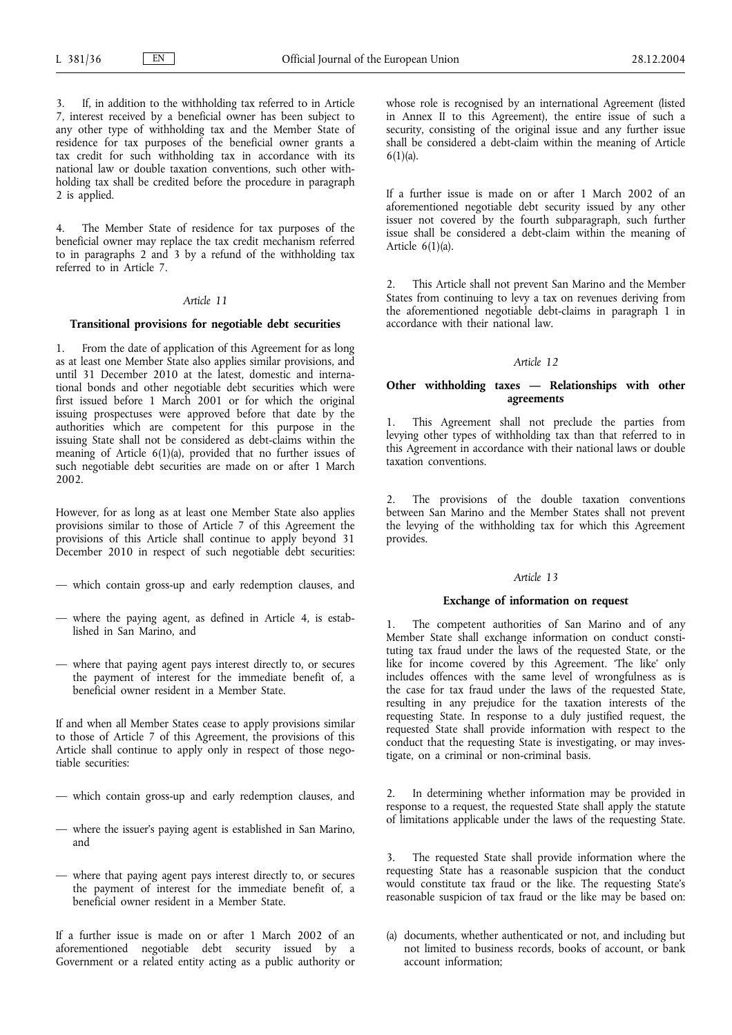If, in addition to the withholding tax referred to in Article 7, interest received by a beneficial owner has been subject to any other type of withholding tax and the Member State of residence for tax purposes of the beneficial owner grants a tax credit for such withholding tax in accordance with its national law or double taxation conventions, such other withholding tax shall be credited before the procedure in paragraph 2 is applied.

4. The Member State of residence for tax purposes of the beneficial owner may replace the tax credit mechanism referred to in paragraphs 2 and 3 by a refund of the withholding tax referred to in Article 7.

### *Article 11*

### **Transitional provisions for negotiable debt securities**

1. From the date of application of this Agreement for as long as at least one Member State also applies similar provisions, and until 31 December 2010 at the latest, domestic and international bonds and other negotiable debt securities which were first issued before 1 March 2001 or for which the original issuing prospectuses were approved before that date by the authorities which are competent for this purpose in the issuing State shall not be considered as debt-claims within the meaning of Article 6(1)(a), provided that no further issues of such negotiable debt securities are made on or after 1 March 2002.

However, for as long as at least one Member State also applies provisions similar to those of Article 7 of this Agreement the provisions of this Article shall continue to apply beyond 31 December 2010 in respect of such negotiable debt securities:

- which contain gross-up and early redemption clauses, and
- where the paying agent, as defined in Article 4, is established in San Marino, and
- where that paying agent pays interest directly to, or secures the payment of interest for the immediate benefit of, a beneficial owner resident in a Member State.

If and when all Member States cease to apply provisions similar to those of Article 7 of this Agreement, the provisions of this Article shall continue to apply only in respect of those negotiable securities:

- which contain gross-up and early redemption clauses, and
- where the issuer's paying agent is established in San Marino, and
- where that paying agent pays interest directly to, or secures the payment of interest for the immediate benefit of, a beneficial owner resident in a Member State.

If a further issue is made on or after 1 March 2002 of an aforementioned negotiable debt security issued by a Government or a related entity acting as a public authority or

whose role is recognised by an international Agreement (listed in Annex II to this Agreement), the entire issue of such a security, consisting of the original issue and any further issue shall be considered a debt-claim within the meaning of Article  $6(1)(a)$ .

If a further issue is made on or after 1 March 2002 of an aforementioned negotiable debt security issued by any other issuer not covered by the fourth subparagraph, such further issue shall be considered a debt-claim within the meaning of Article  $6(1)(a)$ .

2. This Article shall not prevent San Marino and the Member States from continuing to levy a tax on revenues deriving from the aforementioned negotiable debt-claims in paragraph 1 in accordance with their national law.

#### *Article 12*

## **Other withholding taxes** *—* **Relationships with other agreements**

1. This Agreement shall not preclude the parties from levying other types of withholding tax than that referred to in this Agreement in accordance with their national laws or double taxation conventions.

2. The provisions of the double taxation conventions between San Marino and the Member States shall not prevent the levying of the withholding tax for which this Agreement provides.

#### *Article 13*

#### **Exchange of information on request**

The competent authorities of San Marino and of any Member State shall exchange information on conduct constituting tax fraud under the laws of the requested State, or the like for income covered by this Agreement. 'The like' only includes offences with the same level of wrongfulness as is the case for tax fraud under the laws of the requested State, resulting in any prejudice for the taxation interests of the requesting State. In response to a duly justified request, the requested State shall provide information with respect to the conduct that the requesting State is investigating, or may investigate, on a criminal or non-criminal basis.

In determining whether information may be provided in response to a request, the requested State shall apply the statute of limitations applicable under the laws of the requesting State.

3. The requested State shall provide information where the requesting State has a reasonable suspicion that the conduct would constitute tax fraud or the like. The requesting State's reasonable suspicion of tax fraud or the like may be based on:

(a) documents, whether authenticated or not, and including but not limited to business records, books of account, or bank account information;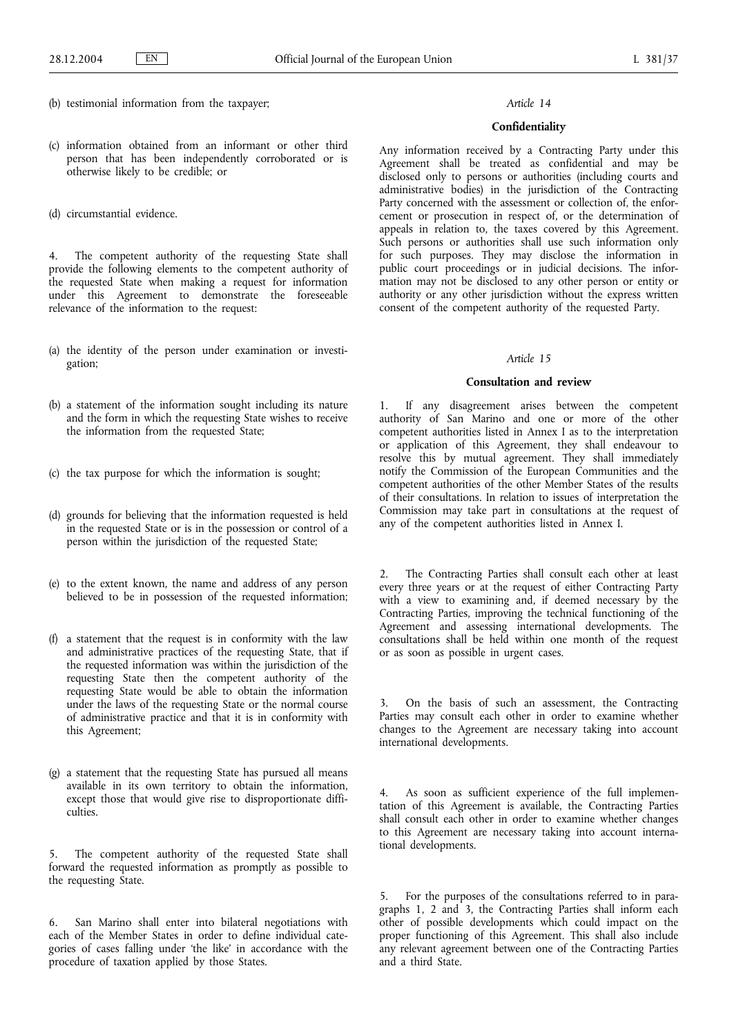- (b) testimonial information from the taxpayer;
- (c) information obtained from an informant or other third person that has been independently corroborated or is otherwise likely to be credible; or
- (d) circumstantial evidence.

4. The competent authority of the requesting State shall provide the following elements to the competent authority of the requested State when making a request for information under this Agreement to demonstrate the foreseeable relevance of the information to the request:

- (a) the identity of the person under examination or investigation;
- (b) a statement of the information sought including its nature and the form in which the requesting State wishes to receive the information from the requested State;
- (c) the tax purpose for which the information is sought;
- (d) grounds for believing that the information requested is held in the requested State or is in the possession or control of a person within the jurisdiction of the requested State;
- (e) to the extent known, the name and address of any person believed to be in possession of the requested information;
- (f) a statement that the request is in conformity with the law and administrative practices of the requesting State, that if the requested information was within the jurisdiction of the requesting State then the competent authority of the requesting State would be able to obtain the information under the laws of the requesting State or the normal course of administrative practice and that it is in conformity with this Agreement;
- (g) a statement that the requesting State has pursued all means available in its own territory to obtain the information, except those that would give rise to disproportionate difficulties.

5. The competent authority of the requested State shall forward the requested information as promptly as possible to the requesting State.

6. San Marino shall enter into bilateral negotiations with each of the Member States in order to define individual categories of cases falling under 'the like' in accordance with the procedure of taxation applied by those States.

### *Article 14*

### **Confidentiality**

Any information received by a Contracting Party under this Agreement shall be treated as confidential and may be disclosed only to persons or authorities (including courts and administrative bodies) in the jurisdiction of the Contracting Party concerned with the assessment or collection of, the enforcement or prosecution in respect of, or the determination of appeals in relation to, the taxes covered by this Agreement. Such persons or authorities shall use such information only for such purposes. They may disclose the information in public court proceedings or in judicial decisions. The information may not be disclosed to any other person or entity or authority or any other jurisdiction without the express written consent of the competent authority of the requested Party.

### *Article 15*

## **Consultation and review**

1. If any disagreement arises between the competent authority of San Marino and one or more of the other competent authorities listed in Annex I as to the interpretation or application of this Agreement, they shall endeavour to resolve this by mutual agreement. They shall immediately notify the Commission of the European Communities and the competent authorities of the other Member States of the results of their consultations. In relation to issues of interpretation the Commission may take part in consultations at the request of any of the competent authorities listed in Annex I.

2. The Contracting Parties shall consult each other at least every three years or at the request of either Contracting Party with a view to examining and, if deemed necessary by the Contracting Parties, improving the technical functioning of the Agreement and assessing international developments. The consultations shall be held within one month of the request or as soon as possible in urgent cases.

3. On the basis of such an assessment, the Contracting Parties may consult each other in order to examine whether changes to the Agreement are necessary taking into account international developments.

4. As soon as sufficient experience of the full implementation of this Agreement is available, the Contracting Parties shall consult each other in order to examine whether changes to this Agreement are necessary taking into account international developments.

5. For the purposes of the consultations referred to in paragraphs 1, 2 and 3, the Contracting Parties shall inform each other of possible developments which could impact on the proper functioning of this Agreement. This shall also include any relevant agreement between one of the Contracting Parties and a third State.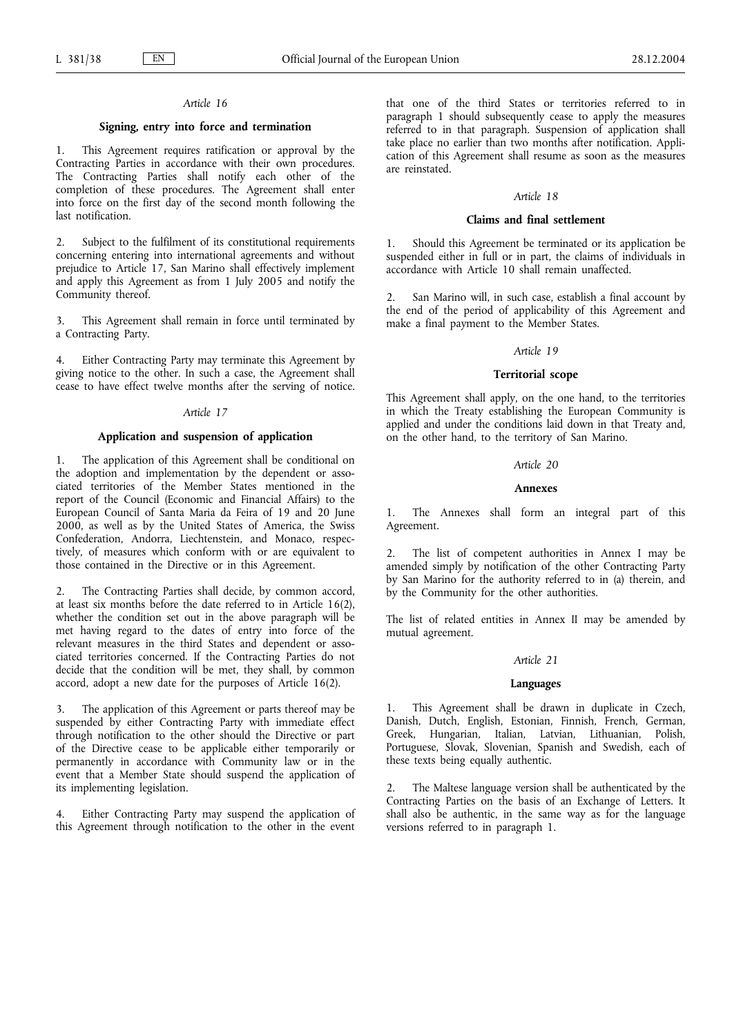# *Article 16*

### **Signing, entry into force and termination**

1. This Agreement requires ratification or approval by the Contracting Parties in accordance with their own procedures. The Contracting Parties shall notify each other of the completion of these procedures. The Agreement shall enter into force on the first day of the second month following the last notification.

2. Subject to the fulfilment of its constitutional requirements concerning entering into international agreements and without prejudice to Article 17, San Marino shall effectively implement and apply this Agreement as from 1 July 2005 and notify the Community thereof.

3. This Agreement shall remain in force until terminated by a Contracting Party.

4. Either Contracting Party may terminate this Agreement by giving notice to the other. In such a case, the Agreement shall cease to have effect twelve months after the serving of notice.

### *Article 17*

# **Application and suspension of application**

1. The application of this Agreement shall be conditional on the adoption and implementation by the dependent or associated territories of the Member States mentioned in the report of the Council (Economic and Financial Affairs) to the European Council of Santa Maria da Feira of 19 and 20 June 2000, as well as by the United States of America, the Swiss Confederation, Andorra, Liechtenstein, and Monaco, respectively, of measures which conform with or are equivalent to those contained in the Directive or in this Agreement.

2. The Contracting Parties shall decide, by common accord, at least six months before the date referred to in Article 16(2), whether the condition set out in the above paragraph will be met having regard to the dates of entry into force of the relevant measures in the third States and dependent or associated territories concerned. If the Contracting Parties do not decide that the condition will be met, they shall, by common accord, adopt a new date for the purposes of Article 16(2).

3. The application of this Agreement or parts thereof may be suspended by either Contracting Party with immediate effect through notification to the other should the Directive or part of the Directive cease to be applicable either temporarily or permanently in accordance with Community law or in the event that a Member State should suspend the application of its implementing legislation.

4. Either Contracting Party may suspend the application of this Agreement through notification to the other in the event

that one of the third States or territories referred to in paragraph 1 should subsequently cease to apply the measures referred to in that paragraph. Suspension of application shall take place no earlier than two months after notification. Application of this Agreement shall resume as soon as the measures are reinstated.

#### *Article 18*

#### **Claims and final settlement**

Should this Agreement be terminated or its application be suspended either in full or in part, the claims of individuals in accordance with Article 10 shall remain unaffected.

2. San Marino will, in such case, establish a final account by the end of the period of applicability of this Agreement and make a final payment to the Member States.

#### *Article 19*

#### **Territorial scope**

This Agreement shall apply, on the one hand, to the territories in which the Treaty establishing the European Community is applied and under the conditions laid down in that Treaty and, on the other hand, to the territory of San Marino.

### *Article 20*

### **Annexes**

1. The Annexes shall form an integral part of this Agreement.

2. The list of competent authorities in Annex I may be amended simply by notification of the other Contracting Party by San Marino for the authority referred to in (a) therein, and by the Community for the other authorities.

The list of related entities in Annex II may be amended by mutual agreement.

#### *Article 21*

## **Languages**

1. This Agreement shall be drawn in duplicate in Czech, Danish, Dutch, English, Estonian, Finnish, French, German, Greek, Hungarian, Italian, Latvian, Lithuanian, Polish, Portuguese, Slovak, Slovenian, Spanish and Swedish, each of these texts being equally authentic.

2. The Maltese language version shall be authenticated by the Contracting Parties on the basis of an Exchange of Letters. It shall also be authentic, in the same way as for the language versions referred to in paragraph 1.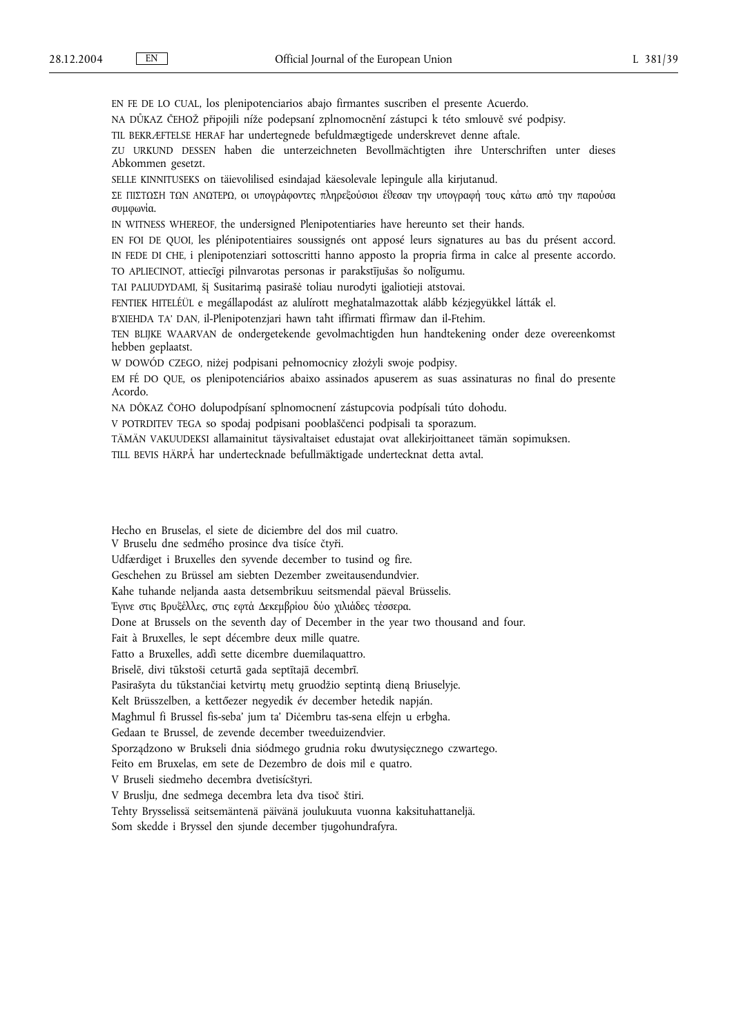EN FE DE LO CUAL, los plenipotenciarios abajo firmantes suscriben el presente Acuerdo.

NA DŮKAZ ČEHOŽ připojili níže podepsaní zplnomocnění zástupci k této smlouvě své podpisy.

TIL BEKRÆFTELSE HERAF har undertegnede befuldmægtigede underskrevet denne aftale.

ZU URKUND DESSEN haben die unterzeichneten Bevollmächtigten ihre Unterschriften unter dieses Abkommen gesetzt.

SELLE KINNITUSEKS on täievolilised esindajad käesolevale lepingule alla kirjutanud.

ΣΕ ΠΙΣΤΩΣΗ ΤΩΝ ΑΝΩΤΕΡΩ, οι υπογράφοντες πληρεξούσιοι έθεσαν την υπογραφή τους κάτω από την παρούσα συμφωνία.

IN WITNESS WHEREOF, the undersigned Plenipotentiaries have hereunto set their hands.

EN FOI DE QUOI, les plénipotentiaires soussignés ont apposé leurs signatures au bas du présent accord. IN FEDE DI CHE, i plenipotenziari sottoscritti hanno apposto la propria firma in calce al presente accordo.

TO APLIECINOT, attiecīgi pilnvarotas personas ir parakstījušas šo nolīgumu.

TAI PALIUDYDAMI, šį Susitarimą pasirašė toliau nurodyti įgaliotieji atstovai.

FENTIEK HITELÉÜL e megállapodást az alulírott meghatalmazottak alább kézjegyükkel látták el.

B'XIEHDA TA' DAN, il-Plenipotenzjari hawn taħt iffirmati ffirmaw dan il-Ftehim.

TEN BLIJKE WAARVAN de ondergetekende gevolmachtigden hun handtekening onder deze overeenkomst hebben geplaatst.

W DOWÓD CZEGO, niżej podpisani pełnomocnicy złożyli swoje podpisy.

EM FÉ DO QUE, os plenipotenciários abaixo assinados apuserem as suas assinaturas no final do presente Acordo.

NA DÔKAZ ČOHO dolupodpísaní splnomocnení zástupcovia podpísali túto dohodu.

V POTRDITEV TEGA so spodaj podpisani pooblaščenci podpisali ta sporazum.

TÄMÄN VAKUUDEKSI allamainitut täysivaltaiset edustajat ovat allekirjoittaneet tämän sopimuksen.

TILL BEVIS HÄRPÅ har undertecknade befullmäktigade undertecknat detta avtal.

Hecho en Bruselas, el siete de diciembre del dos mil cuatro.

V Bruselu dne sedmého prosince dva tisíce čtyři.

Udfærdiget i Bruxelles den syvende december to tusind og fire.

Geschehen zu Brüssel am siebten Dezember zweitausendundvier.

Kahe tuhande neljanda aasta detsembrikuu seitsmendal päeval Brüsselis.

Έγινε στις Βρυξέλλες, στις εφτά Δεκεμβρίου δύο χιλιάδες τέσσερα.

Done at Brussels on the seventh day of December in the year two thousand and four.

Fait à Bruxelles, le sept décembre deux mille quatre.

Fatto a Bruxelles, addì sette dicembre duemilaquattro.

Briselē, divi tūkstoši ceturtā gada septītajā decembrī.

Pasirašyta du tūkstančiai ketvirtų metų gruodžio septintą dieną Briuselyje.

Kelt Brüsszelben, a kettőezer negyedik év december hetedik napján.

Magħmul fi Brussel fis-seba' jum ta' Diċembru tas-sena elfejn u erbgħa.

Gedaan te Brussel, de zevende december tweeduizendvier.

Sporządzono w Brukseli dnia siódmego grudnia roku dwutysięcznego czwartego.

Feito em Bruxelas, em sete de Dezembro de dois mil e quatro.

V Bruseli siedmeho decembra dvetisícštyri.

V Bruslju, dne sedmega decembra leta dva tisoč štiri.

Tehty Brysselissä seitsemäntenä päivänä joulukuuta vuonna kaksituhattaneljä.

Som skedde i Bryssel den sjunde december tjugohundrafyra.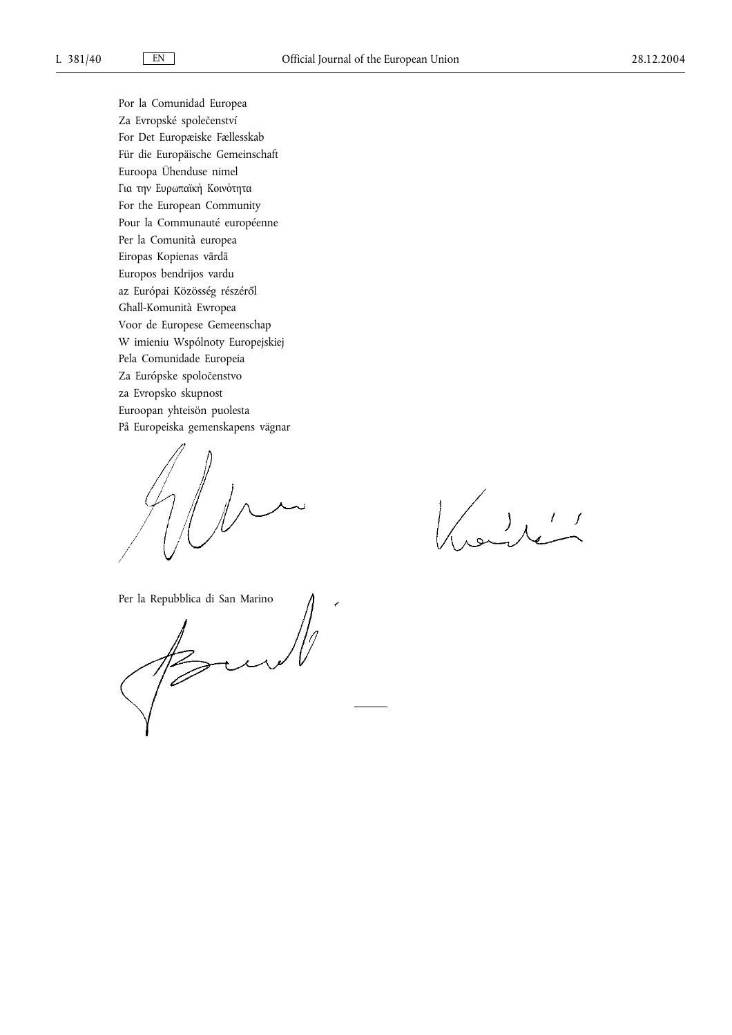Por la Comunidad Europea Za Evropské společenství For Det Europæiske Fællesskab Für die Europäische Gemeinschaft Euroopa Ühenduse nimel Για την Ευρωπαϊκή Κοινότητα For the European Community Pour la Communauté européenne Per la Comunità europea Eiropas Kopienas vārdā Europos bendrijos vardu az Európai Közösség részéről Għall-Komunità Ewropea Voor de Europese Gemeenschap W imieniu Wspólnoty Europejskiej Pela Comunidade Europeia Za Európske spoločenstvo za Evropsko skupnost Euroopan yhteisön puolesta På Europeiska gemenskapens vägnar

 $\bigcup_{\infty}$ 

Per la Repubblica di San Marino

 $\mathbb{Z}$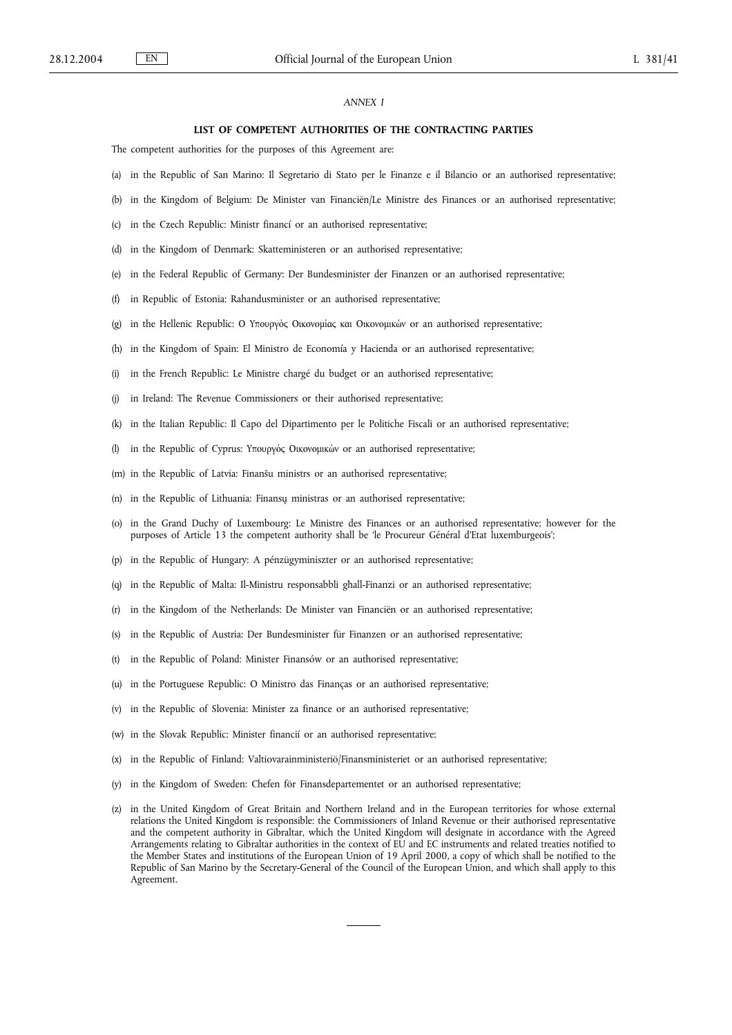### *ANNEX I*

#### **LIST OF COMPETENT AUTHORITIES OF THE CONTRACTING PARTIES**

The competent authorities for the purposes of this Agreement are:

- (a) in the Republic of San Marino: Il Segretario di Stato per le Finanze e il Bilancio or an authorised representative;
- (b) in the Kingdom of Belgium: De Minister van Financiën/Le Ministre des Finances or an authorised representative;
- (c) in the Czech Republic: Ministr financí or an authorised representative;
- (d) in the Kingdom of Denmark: Skatteministeren or an authorised representative;
- (e) in the Federal Republic of Germany: Der Bundesminister der Finanzen or an authorised representative;
- (f) in Republic of Estonia: Rahandusminister or an authorised representative;
- (g) in the Hellenic Republic: Ο Υπουργός Οικονομίας και Οικονομικών or an authorised representative;
- (h) in the Kingdom of Spain: El Ministro de Economía y Hacienda or an authorised representative;
- (i) in the French Republic: Le Ministre chargé du budget or an authorised representative;
- (j) in Ireland: The Revenue Commissioners or their authorised representative;
- (k) in the Italian Republic: Il Capo del Dipartimento per le Politiche Fiscali or an authorised representative;
- (l) in the Republic of Cyprus: Υπουργός Οικονομικών or an authorised representative;
- (m) in the Republic of Latvia: Finanšu ministrs or an authorised representative;
- (n) in the Republic of Lithuania: Finansų ministras or an authorised representative;
- (o) in the Grand Duchy of Luxembourg: Le Ministre des Finances or an authorised representative; however for the purposes of Article 13 the competent authority shall be 'le Procureur Général d'Etat luxemburgeois';
- (p) in the Republic of Hungary: A pénzügyminiszter or an authorised representative;
- (q) in the Republic of Malta: Il-Ministru responsabbli għall-Finanzi or an authorised representative;
- (r) in the Kingdom of the Netherlands: De Minister van Financiën or an authorised representative;
- (s) in the Republic of Austria: Der Bundesminister für Finanzen or an authorised representative;
- (t) in the Republic of Poland: Minister Finansów or an authorised representative;
- (u) in the Portuguese Republic: O Ministro das Finanças or an authorised representative;
- (v) in the Republic of Slovenia: Minister za finance or an authorised representative;
- (w) in the Slovak Republic: Minister financií or an authorised representative;
- (x) in the Republic of Finland: Valtiovarainministeriö/Finansministeriet or an authorised representative;
- (y) in the Kingdom of Sweden: Chefen för Finansdepartementet or an authorised representative;
- (z) in the United Kingdom of Great Britain and Northern Ireland and in the European territories for whose external relations the United Kingdom is responsible: the Commissioners of Inland Revenue or their authorised representative and the competent authority in Gibraltar, which the United Kingdom will designate in accordance with the Agreed Arrangements relating to Gibraltar authorities in the context of EU and EC instruments and related treaties notified to the Member States and institutions of the European Union of 19 April 2000, a copy of which shall be notified to the Republic of San Marino by the Secretary-General of the Council of the European Union, and which shall apply to this Agreement.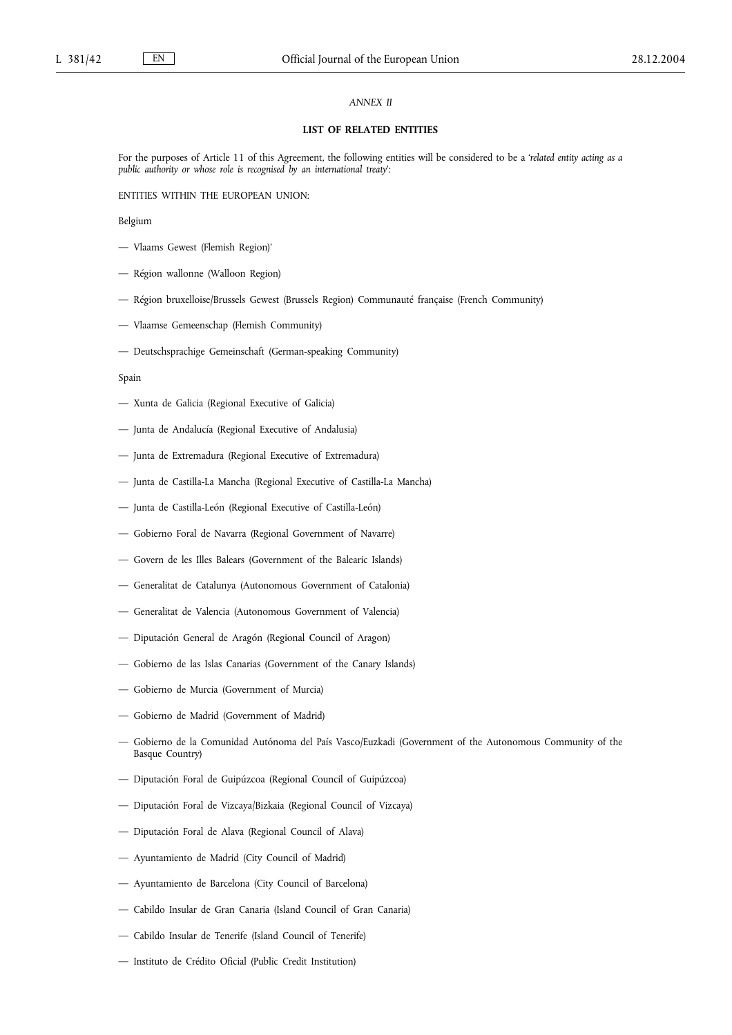## *ANNEX II*

### **LIST OF RELATED ENTITIES**

For the purposes of Article 11 of this Agreement, the following entities will be considered to be a '*related entity acting as a public authority or whose role is recognised by an international treaty*':

ENTITIES WITHIN THE EUROPEAN UNION:

## Belgium

- Vlaams Gewest (Flemish Region)'
- Région wallonne (Walloon Region)
- Région bruxelloise/Brussels Gewest (Brussels Region) Communauté française (French Community)
- Vlaamse Gemeenschap (Flemish Community)
- Deutschsprachige Gemeinschaft (German-speaking Community)

### Spain

- Xunta de Galicia (Regional Executive of Galicia)
- Junta de Andalucía (Regional Executive of Andalusia)
- Junta de Extremadura (Regional Executive of Extremadura)
- Junta de Castilla-La Mancha (Regional Executive of Castilla-La Mancha)
- Junta de Castilla-León (Regional Executive of Castilla-León)
- Gobierno Foral de Navarra (Regional Government of Navarre)
- Govern de les Illes Balears (Government of the Balearic Islands)
- Generalitat de Catalunya (Autonomous Government of Catalonia)
- Generalitat de Valencia (Autonomous Government of Valencia)
- Diputación General de Aragón (Regional Council of Aragon)
- Gobierno de las Islas Canarias (Government of the Canary Islands)
- Gobierno de Murcia (Government of Murcia)
- Gobierno de Madrid (Government of Madrid)
- Gobierno de la Comunidad Autónoma del País Vasco/Euzkadi (Government of the Autonomous Community of the Basque Country)
- Diputación Foral de Guipúzcoa (Regional Council of Guipúzcoa)
- Diputación Foral de Vizcaya/Bizkaia (Regional Council of Vizcaya)
- Diputación Foral de Alava (Regional Council of Alava)
- Ayuntamiento de Madrid (City Council of Madrid)
- Ayuntamiento de Barcelona (City Council of Barcelona)
- Cabildo Insular de Gran Canaria (Island Council of Gran Canaria)
- Cabildo Insular de Tenerife (Island Council of Tenerife)
- Instituto de Crédito Oficial (Public Credit Institution)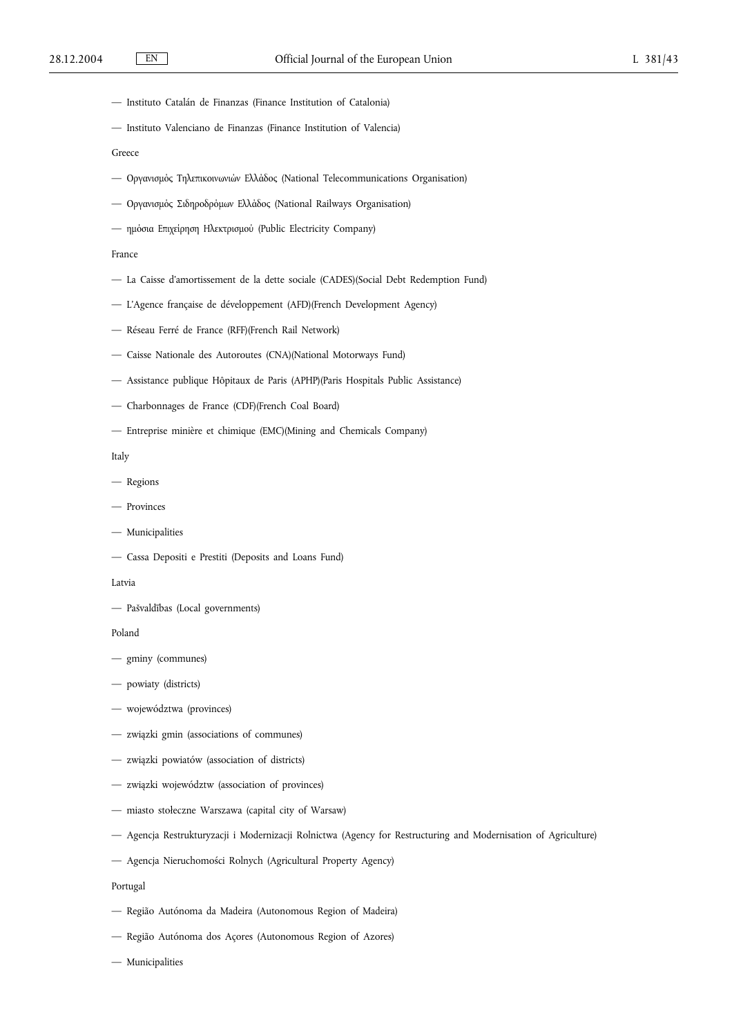- Instituto Catalán de Finanzas (Finance Institution of Catalonia)
- Instituto Valenciano de Finanzas (Finance Institution of Valencia)
- Greece
- Оργανισμός Тηλεπικοινωνιών Ελλάδος (National Telecommunications Organisation)
- Оργανισμός Σιδηροδρόμων Ελλάδος (National Railways Organisation)
- ημόσια Επιχείρηση Ηλεκτρισμού (Public Electricity Company)

#### France

- La Caisse d'amortissement de la dette sociale (CADES)(Social Debt Redemption Fund)
- L'Agence française de développement (AFD)(French Development Agency)
- Réseau Ferré de France (RFF)(French Rail Network)
- Caisse Nationale des Autoroutes (CNA)(National Motorways Fund)
- Assistance publique Hôpitaux de Paris (APHP)(Paris Hospitals Public Assistance)
- Charbonnages de France (CDF)(French Coal Board)
- Entreprise minière et chimique (EMC)(Mining and Chemicals Company)

Italy

- Regions
- Provinces
- Municipalities
- Cassa Depositi e Prestiti (Deposits and Loans Fund)

#### Latvia

— Pašvaldības (Local governments)

Poland

- gminy (communes)
- powiaty (districts)
- województwa (provinces)
- związki gmin (associations of communes)
- związki powiatów (association of districts)
- związki województw (association of provinces)
- miasto stołeczne Warszawa (capital city of Warsaw)
- Agencja Restrukturyzacji i Modernizacji Rolnictwa (Agency for Restructuring and Modernisation of Agriculture)
- Agencja Nieruchomości Rolnych (Agricultural Property Agency)

### Portugal

- Região Autónoma da Madeira (Autonomous Region of Madeira)
- Região Autónoma dos Açores (Autonomous Region of Azores)
- Municipalities